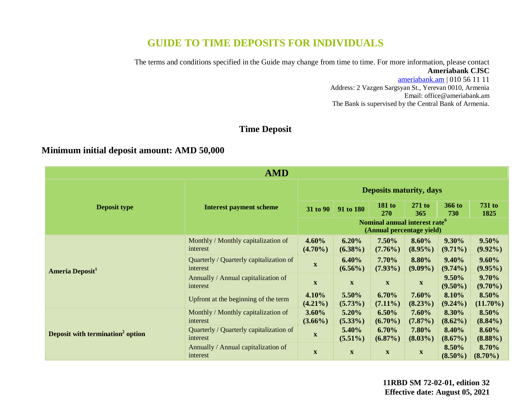# **GUIDE TO TIME DEPOSITS FOR INDIVIDUALS**

The terms and conditions specified in the Guide may change from time to time. For more information, please contact **Ameriabank CJSC**

> [ameriabank.am](https://ameriabank.am/default.aspx?lang=28) | 010 56 11 11 Address: 2 Vazgen Sargsyan St., Yerevan 0010, Armenia Email: <office@ameriabank.am> The Bank is supervised by the Central Bank of Armenia.

## **Time Deposit**

## **Minimum initial deposit amount: AMD 50,000**

| <b>AMD</b>                                   |                                                     |                                |                                                                        |                           |                           |                     |                        |
|----------------------------------------------|-----------------------------------------------------|--------------------------------|------------------------------------------------------------------------|---------------------------|---------------------------|---------------------|------------------------|
|                                              | <b>Interest payment scheme</b>                      | <b>Deposits maturity, days</b> |                                                                        |                           |                           |                     |                        |
| <b>Deposit type</b>                          |                                                     | 31 to 90                       | 91 to 180                                                              | <b>181 to</b><br>270      | $271$ to<br>365           | 366 to<br>730       | <b>731 to</b><br>1825  |
|                                              |                                                     |                                | Nominal annual interest rate <sup>6</sup><br>(Annual percentage yield) |                           |                           |                     |                        |
| Ameria Deposit <sup>1</sup>                  | Monthly / Monthly capitalization of<br>interest     | 4.60%<br>$(4.70\%)$            | 6.20%<br>$(6.38\%)$                                                    | 7.50%<br>$(7.76\%)$       | 8.60%<br>$(8.95\%)$       | 9.30%<br>$(9.71\%)$ | $9.50\%$<br>$(9.92\%)$ |
|                                              | Quarterly / Quarterly capitalization of<br>interest | $\mathbf{X}$                   | 6.40%<br>$(6.56\%)$                                                    | 7.70%<br>$(7.93\%)$       | 8.80%<br>$(9.09\%)$       | 9.40%<br>$(9.74\%)$ | $9.60\%$<br>$(9.95\%)$ |
|                                              | Annually / Annual capitalization of<br>interest     | $\mathbf{X}$                   | $\mathbf X$                                                            | $\mathbf X$               | $\boldsymbol{\mathrm{X}}$ | 9.50%<br>$(9.50\%)$ | 9.70%<br>$(9.70\%)$    |
|                                              | Upfront at the beginning of the term                | 4.10%<br>$(4.21\%)$            | 5.50%<br>$(5.73\%)$                                                    | 6.70%<br>$(7.11\%)$       | 7.60%<br>$(8.23\%)$       | 8.10%<br>$(9.24\%)$ | 8.50%<br>$(11.70\%)$   |
|                                              | Monthly / Monthly capitalization of<br>interest     | $3.60\%$<br>$(3.66\%)$         | 5.20%<br>$(5.33\%)$                                                    | 6.50%<br>$(6.70\%)$       | 7.60%<br>$(7.87\%)$       | 8.30%<br>$(8.62\%)$ | 8.50%<br>$(8.84\%)$    |
| Deposit with termination <sup>2</sup> option | Quarterly / Quarterly capitalization of<br>interest | $\mathbf{X}$                   | 5.40%<br>$(5.51\%)$                                                    | 6.70%<br>$(6.87\%)$       | 7.80%<br>$(8.03\%)$       | 8.40%<br>$(8.67\%)$ | 8.60%<br>$(8.88\%)$    |
|                                              | Annually / Annual capitalization of<br>interest     | $\boldsymbol{\mathrm{X}}$      | $\mathbf X$                                                            | $\boldsymbol{\mathrm{X}}$ | $\mathbf{X}$              | 8.50%<br>$(8.50\%)$ | 8.70%<br>$(8.70\%)$    |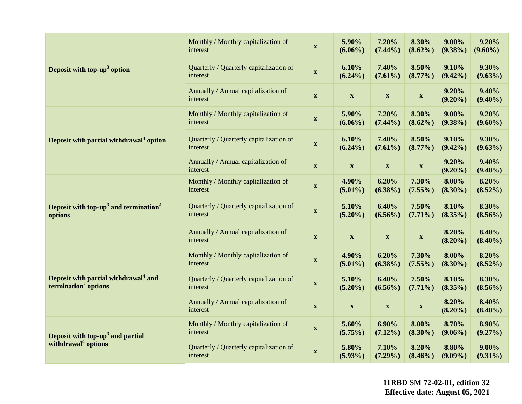|                                                                                      | Monthly / Monthly capitalization of<br>interest     | $\boldsymbol{\mathrm{X}}$ | 5.90%<br>$(6.06\%)$       | 7.20%<br>$(7.44\%)$       | 8.30%<br>$(8.62\%)$ | $9.00\%$<br>$(9.38\%)$ | 9.20%<br>$(9.60\%)$    |
|--------------------------------------------------------------------------------------|-----------------------------------------------------|---------------------------|---------------------------|---------------------------|---------------------|------------------------|------------------------|
| Deposit with top- $up3$ option                                                       | Quarterly / Quarterly capitalization of<br>interest | $\boldsymbol{\mathrm{X}}$ | 6.10%<br>$(6.24\%)$       | 7.40%<br>$(7.61\%)$       | 8.50%<br>$(8.77\%)$ | 9.10%<br>$(9.42\%)$    | 9.30%<br>$(9.63\%)$    |
|                                                                                      | Annually / Annual capitalization of<br>interest     | $\mathbf X$               | $\mathbf X$               | $\boldsymbol{\mathrm{X}}$ | $\mathbf{X}$        | 9.20%<br>$(9.20\%)$    | 9.40%<br>$(9.40\%)$    |
|                                                                                      | Monthly / Monthly capitalization of<br>interest     | $\boldsymbol{\mathrm{X}}$ | 5.90%<br>$(6.06\%)$       | 7.20%<br>$(7.44\%)$       | 8.30%<br>$(8.62\%)$ | $9.00\%$<br>$(9.38\%)$ | 9.20%<br>$(9.60\%)$    |
| Deposit with partial withdrawal <sup>4</sup> option                                  | Quarterly / Quarterly capitalization of<br>interest | $\mathbf X$               | 6.10%<br>$(6.24\%)$       | 7.40%<br>$(7.61\%)$       | 8.50%<br>$(8.77\%)$ | 9.10%<br>$(9.42\%)$    | 9.30%<br>$(9.63\%)$    |
|                                                                                      | Annually / Annual capitalization of<br>interest     | $\mathbf X$               | $\mathbf X$               | $\boldsymbol{\mathrm{X}}$ | $\mathbf{X}$        | 9.20%<br>$(9.20\%)$    | 9.40%<br>$(9.40\%)$    |
| Deposit with top-up <sup>3</sup> and termination <sup>2</sup><br>options             | Monthly / Monthly capitalization of<br>interest     | $\mathbf X$               | 4.90%<br>$(5.01\%)$       | 6.20%<br>$(6.38\%)$       | 7.30%<br>$(7.55\%)$ | 8.00%<br>$(8.30\%)$    | 8.20%<br>$(8.52\%)$    |
|                                                                                      | Quarterly / Quarterly capitalization of<br>interest | $\mathbf X$               | 5.10%<br>$(5.20\%)$       | 6.40%<br>$(6.56\%)$       | 7.50%<br>$(7.71\%)$ | 8.10%<br>$(8.35\%)$    | 8.30%<br>$(8.56\%)$    |
|                                                                                      | Annually / Annual capitalization of<br>interest     | $\mathbf X$               | $\mathbf X$               | $\boldsymbol{\mathrm{X}}$ | $\mathbf{X}$        | 8.20%<br>$(8.20\%)$    | 8.40%<br>$(8.40\%)$    |
| Deposit with partial withdrawal <sup>4</sup> and<br>termination <sup>2</sup> options | Monthly / Monthly capitalization of<br>interest     | $\boldsymbol{\mathrm{X}}$ | 4.90%<br>$(5.01\%)$       | 6.20%<br>$(6.38\%)$       | 7.30%<br>$(7.55\%)$ | 8.00%<br>$(8.30\%)$    | 8.20%<br>$(8.52\%)$    |
|                                                                                      | Quarterly / Quarterly capitalization of<br>interest | $\mathbf X$               | 5.10%<br>$(5.20\%)$       | 6.40%<br>$(6.56\%)$       | 7.50%<br>$(7.71\%)$ | 8.10%<br>$(8.35\%)$    | 8.30%<br>$(8.56\%)$    |
|                                                                                      | Annually / Annual capitalization of<br>interest     | $\boldsymbol{\mathrm{X}}$ | $\boldsymbol{\mathrm{X}}$ | $\boldsymbol{\mathrm{X}}$ | $\mathbf{X}$        | 8.20%<br>$(8.20\%)$    | 8.40%<br>$(8.40\%)$    |
| Deposit with top- $up3$ and partial                                                  | Monthly / Monthly capitalization of<br>interest     | $\boldsymbol{\mathrm{X}}$ | 5.60%<br>$(5.75\%)$       | $6.90\%$<br>$(7.12\%)$    | 8.00%<br>$(8.30\%)$ | 8.70%<br>$(9.06\%)$    | 8.90%<br>$(9.27\%)$    |
| withdrawal <sup>4</sup> options                                                      | Quarterly / Quarterly capitalization of<br>interest | $\mathbf X$               | 5.80%<br>$(5.93\%)$       | 7.10%<br>$(7.29\%)$       | 8.20%<br>$(8.46\%)$ | 8.80%<br>$(9.09\%)$    | $9.00\%$<br>$(9.31\%)$ |

**11RBD SM 72-02-01, edition 32 Effective date: August 05, 2021**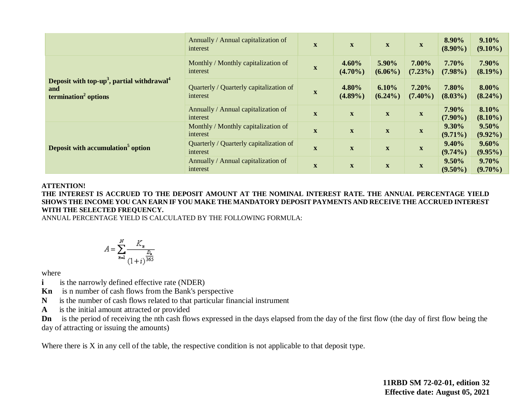|                                                                                                               | Annually / Annual capitalization of<br>interest     | $\boldsymbol{\mathrm{X}}$ | $\mathbf X$               | $\mathbf{X}$              | $\mathbf X$               | 8.90%<br>$(8.90\%)$    | 9.10%<br>$(9.10\%)$    |
|---------------------------------------------------------------------------------------------------------------|-----------------------------------------------------|---------------------------|---------------------------|---------------------------|---------------------------|------------------------|------------------------|
|                                                                                                               | Monthly / Monthly capitalization of<br>interest     | $\mathbf x$               | 4.60%<br>$(4.70\%)$       | 5.90%<br>$(6.06\%)$       | 7.00%<br>$(7.23\%)$       | 7.70%<br>$(7.98\%)$    | 7.90%<br>$(8.19\%)$    |
| Deposit with top-up <sup>3</sup> , partial withdrawal <sup>4</sup><br>and<br>termination <sup>2</sup> options | Quarterly / Quarterly capitalization of<br>interest | $\mathbf x$               | 4.80%<br>$(4.89\%)$       | 6.10%<br>$(6.24\%)$       | 7.20%<br>$(7.40\%)$       | 7.80%<br>$(8.03\%)$    | 8.00%<br>$(8.24\%)$    |
|                                                                                                               | Annually / Annual capitalization of<br>interest     | $\mathbf X$               | $\mathbf X$               | $\boldsymbol{\mathrm{X}}$ | $\boldsymbol{\mathrm{X}}$ | 7.90%<br>$(7.90\%)$    | 8.10%<br>$(8.10\%)$    |
| Deposit with accumulation <sup>5</sup> option                                                                 | Monthly / Monthly capitalization of<br>interest     | $\mathbf x$               | $\mathbf X$               | $\mathbf X$               | $\mathbf X$               | $9.30\%$<br>$(9.71\%)$ | $9.50\%$<br>$(9.92\%)$ |
|                                                                                                               | Quarterly / Quarterly capitalization of<br>interest | $\mathbf x$               | $\mathbf X$               | $\boldsymbol{\mathrm{X}}$ | $\boldsymbol{\mathrm{X}}$ | $9.40\%$<br>$(9.74\%)$ | 9.60%<br>$(9.95\%)$    |
|                                                                                                               | Annually / Annual capitalization of<br>interest     | $\mathbf{X}$              | $\boldsymbol{\mathrm{X}}$ | $\mathbf X$               | $\mathbf X$               | 9.50%<br>$(9.50\%)$    | $9.70\%$<br>$(9.70\%)$ |

#### **ATTENTION!**

**THE INTEREST IS ACCRUED TO THE DEPOSIT AMOUNT AT THE NOMINAL INTEREST RATE. THE ANNUAL PERCENTAGE YIELD SHOWS THE INCOME YOU CAN EARN IF YOU MAKE THE MANDATORY DEPOSIT PAYMENTS AND RECEIVE THE ACCRUED INTEREST WITH THE SELECTED FREQUENCY.** 

ANNUAL PERCENTAGE YIELD IS CALCULATED BY THE FOLLOWING FORMULA:

$$
A = \sum_{n=1}^{N} \frac{K_n}{\frac{D_n}{(1+i)^{\frac{D_n}{365}}}}
$$

where

- **i** is the narrowly defined effective rate (NDER)
- **Kn** is n number of cash flows from the Bank's perspective
- **N** is the number of cash flows related to that particular financial instrument
- **A** is the initial amount attracted or provided

**Dn** is the period of receiving the nth cash flows expressed in the days elapsed from the day of the first flow (the day of first flow being the day of attracting or issuing the amounts)

Where there is X in any cell of the table, the respective condition is not applicable to that deposit type.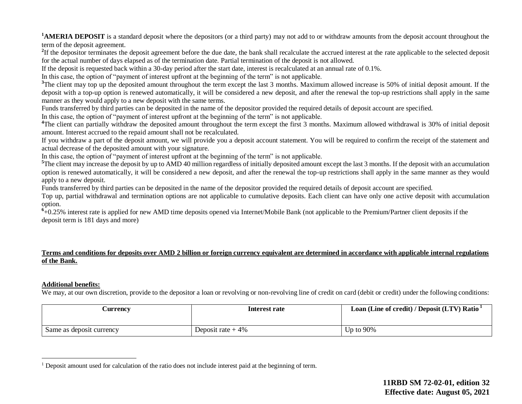<sup>1</sup>**AMERIA DEPOSIT** is a standard deposit where the depositors (or a third party) may not add to or withdraw amounts from the deposit account throughout the term of the deposit agreement.

<sup>2</sup>If the depositor terminates the deposit agreement before the due date, the bank shall recalculate the accrued interest at the rate applicable to the selected deposit for the actual number of days elapsed as of the termination date. Partial termination of the deposit is not allowed.

If the deposit is requested back within a 30-day period after the start date, interest is recalculated at an annual rate of 0.1%.

In this case, the option of "payment of interest upfront at the beginning of the term" is not applicable.

<sup>3</sup>The client may top up the deposited amount throughout the term except the last 3 months. Maximum allowed increase is 50% of initial deposit amount. If the deposit with a top-up option is renewed automatically, it will be considered a new deposit, and after the renewal the top-up restrictions shall apply in the same manner as they would apply to a new deposit with the same terms.

Funds transferred by third parties can be deposited in the name of the depositor provided the required details of deposit account are specified.

In this case, the option of "payment of interest upfront at the beginning of the term" is not applicable.

<sup>4</sup>The client can partially withdraw the deposited amount throughout the term except the first 3 months. Maximum allowed withdrawal is 30% of initial deposit amount. Interest accrued to the repaid amount shall not be recalculated.

If you withdraw a part of the deposit amount, we will provide you a deposit account statement. You will be required to confirm the receipt of the statement and actual decrease of the deposited amount with your signature.

In this case, the option of "payment of interest upfront at the beginning of the term" is not applicable.

<sup>5</sup>The client may increase the deposit by up to AMD 40 million regardless of initially deposited amount except the last 3 months. If the deposit with an accumulation option is renewed automatically, it will be considered a new deposit, and after the renewal the top-up restrictions shall apply in the same manner as they would apply to a new deposit.

Funds transferred by third parties can be deposited in the name of the depositor provided the required details of deposit account are specified.

Top up, partial withdrawal and termination options are not applicable to cumulative deposits. Each client can have only one active deposit with accumulation option.

<sup>6</sup>+0.25% interest rate is applied for new AMD time deposits opened via Internet/Mobile Bank (not applicable to the Premium/Partner client deposits if the deposit term is 181 days and more)

#### **Terms and conditions for deposits over AMD 2 billion or foreign currency equivalent are determined in accordance with applicable internal regulations of the Bank.**

#### **Additional benefits:**

 $\overline{a}$ 

We may, at our own discretion, provide to the depositor a loan or revolving or non-revolving line of credit on card (debit or credit) under the following conditions:

| <b>Currency</b>          | Interest rate       | Loan (Line of credit) / Deposit (LTV) Ratio <sup>1</sup> |
|--------------------------|---------------------|----------------------------------------------------------|
|                          |                     |                                                          |
| Same as deposit currency | Deposit rate $+4\%$ | Up to $90\%$                                             |

<sup>1</sup> Deposit amount used for calculation of the ratio does not include interest paid at the beginning of term.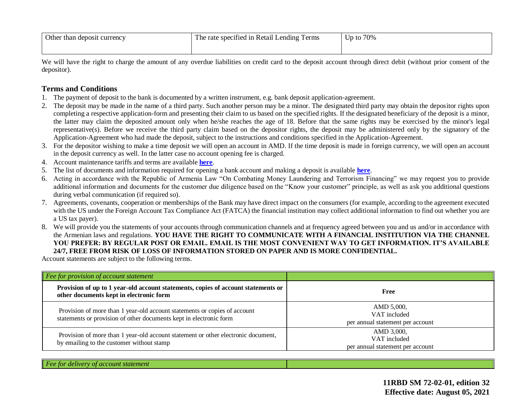| Other than deposit currency | The rate specified in Retail Lending Terms | $Jp$ to $70\%$ |
|-----------------------------|--------------------------------------------|----------------|
|                             |                                            |                |

We will have the right to charge the amount of any overdue liabilities on credit card to the deposit account through direct debit (without prior consent of the depositor).

### **Terms and Conditions**

- 1. The payment of deposit to the bank is documented by a written instrument, e.g. bank deposit application-agreement.
- 2. The deposit may be made in the name of a third party. Such another person may be a minor. The designated third party may obtain the depositor rights upon completing a respective application-form and presenting their claim to us based on the specified rights. If the designated beneficiary of the deposit is a minor, the latter may claim the deposited amount only when he/she reaches the age of 18. Before that the same rights may be exercised by the minor's legal representative(s). Before we receive the third party claim based on the depositor rights, the deposit may be administered only by the signatory of the Application-Agreement who had made the deposit, subject to the instructions and conditions specified in the Application-Agreement.
- 3. For the depositor wishing to make a time deposit we will open an account in AMD. If the time deposit is made in foreign currency, we will open an account in the deposit currency as well. In the latter case no account opening fee is charged.
- 4. Account maintenance tariffs and terms are available **[here](https://www2.ameriabank.am/content.aspx?id=openning+and+service+of+bank+accounts+(retail)&page=99&itm=account&lang=28)**.
- 5. The list of documents and information required for opening a bank account and making a deposit is available **[here](https://www2.ameriabank.am/userfiles/file/Account_openning_required_documents_2_eng.pdf)**.
- 6. Acting in accordance with the Republic of Armenia Law "On Combating Money Laundering and Terrorism Financing" we may request you to provide additional information and documents for the customer due diligence based on the "Know your customer" principle, as well as ask you additional questions during verbal communication (if required so).
- 7. Agreements, covenants, cooperation or memberships of the Bank may have direct impact on the consumers (for example, according to the agreement executed with the US under the Foreign Account Tax Compliance Act (FATCA) the financial institution may collect additional information to find out whether you are a US tax payer).
- 8. We will provide you the statements of your accounts through communication channels and at frequency agreed between you and us and/or in accordance with the Armenian laws and regulations. **YOU HAVE THE RIGHT TO COMMUNICATE WITH A FINANCIAL INSTITUTION VIA THE CHANNEL YOU PREFER: BY REGULAR POST OR EMAIL. EMAIL IS THE MOST CONVENIENT WAY TO GET INFORMATION. IT'S AVAILABLE 24/7, FREE FROM RISK OF LOSS OF INFORMATION STORED ON PAPER AND IS MORE CONFIDENTIAL.**

Account statements are subject to the following terms.

| Fee for provision of account statement                                                                                                          |                                                                |
|-------------------------------------------------------------------------------------------------------------------------------------------------|----------------------------------------------------------------|
| Provision of up to 1 year-old account statements, copies of account statements or<br>other documents kept in electronic form                    | Free                                                           |
| Provision of more than 1 year-old account statements or copies of account<br>statements or provision of other documents kept in electronic form | AMD 5,000,<br>VAT included<br>per annual statement per account |
| Provision of more than 1 year-old account statement or other electronic document,<br>by emailing to the customer without stamp                  | AMD 3,000,<br>VAT included<br>per annual statement per account |

| --------<br>.<br>tatement<br>.<br> |  |
|------------------------------------|--|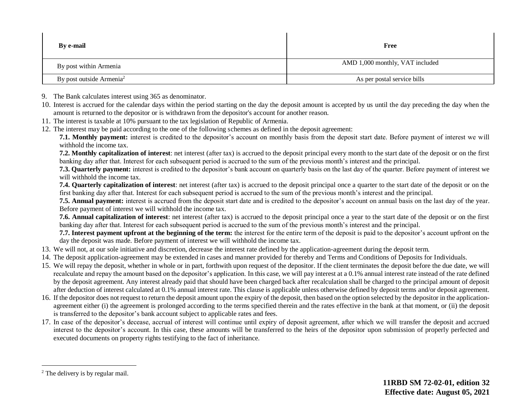| <b>By e-mail</b>                     | Free                            |
|--------------------------------------|---------------------------------|
| By post within Armenia               | AMD 1,000 monthly, VAT included |
| By post outside Armenia <sup>2</sup> | As per postal service bills     |

- 9. The Bank calculates interest using 365 as denominator.
- 10. Interest is accrued for the calendar days within the period starting on the day the deposit amount is accepted by us until the day preceding the day when the amount is returned to the depositor or is withdrawn from the depositor's account for another reason.
- 11. The interest is taxable at 10% pursuant to the tax legislation of Republic of Armenia.
- 12. The interest may be paid according to the one of the following schemes as defined in the deposit agreement:

**7.1. Monthly payment:** interest is credited to the depositor's account on monthly basis from the deposit start date. Before payment of interest we will withhold the income tax.

**7.2. Monthly capitalization of interest**: net interest (after tax) is accrued to the deposit principal every month to the start date of the deposit or on the first banking day after that. Interest for each subsequent period is accrued to the sum of the previous month's interest and the principal.

**7.3. Quarterly payment:** interest is credited to the depositor's bank account on quarterly basis on the last day of the quarter. Before payment of interest we will withhold the income tax.

**7.4. Quarterly capitalization of interest**: net interest (after tax) is accrued to the deposit principal once a quarter to the start date of the deposit or on the first banking day after that. Interest for each subsequent period is accrued to the sum of the previous month's interest and the principal.

**7.5. Annual payment:** interest is accrued from the deposit start date and is credited to the depositor's account on annual basis on the last day of the year. Before payment of interest we will withhold the income tax.

**7.6. Annual capitalization of interest**: net interest (after tax) is accrued to the deposit principal once a year to the start date of the deposit or on the first banking day after that. Interest for each subsequent period is accrued to the sum of the previous month's interest and the principal.

**7.7. Interest payment upfront at the beginning of the term:** the interest for the entire term of the deposit is paid to the depositor's account upfront on the day the deposit was made. Before payment of interest we will withhold the income tax.

- 13. We will not, at our sole initiative and discretion, decrease the interest rate defined by the application-agreement during the deposit term.
- 14. The deposit application-agreement may be extended in cases and manner provided for thereby and Terms and Conditions of Deposits for Individuals.
- 15. We will repay the deposit, whether in whole or in part, forthwith upon request of the depositor. If the client terminates the deposit before the due date, we will recalculate and repay the amount based on the depositor's application. In this case, we will pay interest at a 0.1% annual interest rate instead of the rate defined by the deposit agreement. Any interest already paid that should have been charged back after recalculation shall be charged to the principal amount of deposit after deduction of interest calculated at 0.1% annual interest rate. This clause is applicable unless otherwise defined by deposit terms and/or deposit agreement.
- 16. If the depositor does not request to return the deposit amount upon the expiry of the deposit, then based on the option selected by the depositor in the applicationagreement either (i) the agreement is prolonged according to the terms specified therein and the rates effective in the bank at that moment, or (ii) the deposit is transferred to the depositor's bank account subject to applicable rates and fees.
- 17. In case of the depositor's decease, accrual of interest will continue until expiry of deposit agreement, after which we will transfer the deposit and accrued interest to the depositor's account. In this case, these amounts will be transferred to the heirs of the depositor upon submission of properly perfected and executed documents on property rights testifying to the fact of inheritance.

 $\overline{a}$ 

<sup>&</sup>lt;sup>2</sup> The delivery is by regular mail.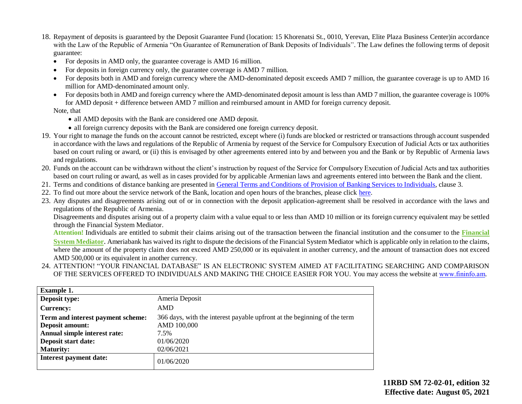- 18. Repayment of deposits is guaranteed by the Deposit Guarantee Fund (location: 15 Khorenatsi St., 0010, Yerevan, Elite Plaza Business Center)in accordance with the Law of the Republic of Armenia "On Guarantee of Remuneration of Bank Deposits of Individuals". The Law defines the following terms of deposit guarantee:
	- For deposits in AMD only, the guarantee coverage is AMD 16 million.
	- For deposits in foreign currency only, the guarantee coverage is AMD 7 million.
	- For deposits both in AMD and foreign currency where the AMD-denominated deposit exceeds AMD 7 million, the guarantee coverage is up to AMD 16 million for AMD-denominated amount only.
	- For deposits both in AMD and foreign currency where the AMD-denominated deposit amount is less than AMD 7 million, the guarantee coverage is 100% for AMD deposit + difference between AMD 7 million and reimbursed amount in AMD for foreign currency deposit.

#### Note, that

- all AMD deposits with the Bank are considered one AMD deposit.
- all foreign currency deposits with the Bank are considered one foreign currency deposit.
- 19. Your right to manage the funds on the account cannot be restricted, except where (i) funds are blocked or restricted or transactions through account suspended in accordance with the laws and regulations of the Republic of Armenia by request of the Service for Compulsory Execution of Judicial Acts or tax authorities based on court ruling or award, or (ii) this is envisaged by other agreements entered into by and between you and the Bank or by Republic of Armenia laws and regulations.
- 20. Funds on the account can be withdrawn without the client's instruction by request of the Service for Compulsory Execution of Judicial Acts and tax authorities based on court ruling or award, as well as in cases provided for by applicable Armenian laws and agreements entered into between the Bank and the client.
- 21. Terms and conditions of distance banking are presented in [General Terms and Conditions of Provision of Banking Services to Individuals,](https://www2.ameriabank.am/userfiles/file/Terms_and_Conditions_PP_arm_29_09_2017_eng.pdf) clause 3.
- 22. To find out more about the service network of the Bank, location and open hours of the branches, please click [here.](https://www2.ameriabank.am/infrastructure.aspx?&lang=28)
- 23. Any disputes and disagreements arising out of or in connection with the deposit application-agreement shall be resolved in accordance with the laws and regulations of the Republic of Armenia.

Disagreements and disputes arising out of a property claim with a value equal to or less than AMD 10 million or its foreign currency equivalent may be settled through the Financial System Mediator.

**Attention!** Individuals are entitled to submit their claims arising out of the transaction between the financial institution and the consumer to the **[Financial](https://ameriabank.am/Page.aspx?id=423&lang=33)  [System Mediator](https://ameriabank.am/Page.aspx?id=423&lang=33)**. Ameriabank has waived its right to dispute the decisions of the Financial System Mediator which is applicable only in relation to the claims, where the amount of the property claim does not exceed AMD 250,000 or its equivalent in another currency, and the amount of transaction does not exceed AMD 500,000 or its equivalent in another currency.

24. ATTENTION! "YOUR FINANCIAL DATABASE" IS AN ELECTRONIC SYSTEM AIMED AT FACILITATING SEARCHING AND COMPARISON OF THE SERVICES OFFERED TO INDIVIDUALS AND MAKING THE CHOICE EASIER FOR YOU. You may access the website at www.fininfo.am.

| <b>Example 1.</b>                 |                                                                          |
|-----------------------------------|--------------------------------------------------------------------------|
| Deposit type:                     | Ameria Deposit                                                           |
| Currency:                         | AMD                                                                      |
| Term and interest payment scheme: | 366 days, with the interest payable upfront at the beginning of the term |
| Deposit amount:                   | AMD 100,000                                                              |
| Annual simple interest rate:      | 7.5%                                                                     |
| Deposit start date:               | 01/06/2020                                                               |
| <b>Maturity:</b>                  | 02/06/2021                                                               |
| Interest payment date:            | 01/06/2020                                                               |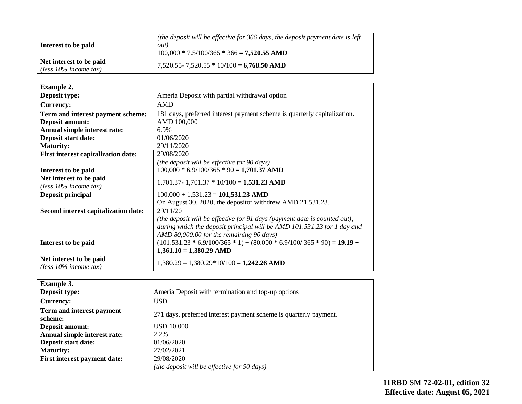| Interest to be paid                                 | (the deposit will be effective for $366$ days, the deposit payment date is left<br><i>out</i> )<br>$100,000 * 7.5/100/365 * 366 = 7,520.55$ AMD |
|-----------------------------------------------------|-------------------------------------------------------------------------------------------------------------------------------------------------|
| Net interest to be paid<br>(less $10\%$ income tax) | $7,520.55 - 7,520.55 * 10/100 = 6,768.50$ AMD                                                                                                   |

| <b>Example 2.</b>                                   |                                                                           |
|-----------------------------------------------------|---------------------------------------------------------------------------|
| Deposit type:                                       | Ameria Deposit with partial withdrawal option                             |
| <b>Currency:</b>                                    | <b>AMD</b>                                                                |
| Term and interest payment scheme:                   | 181 days, preferred interest payment scheme is quarterly capitalization.  |
| Deposit amount:                                     | AMD 100,000                                                               |
| Annual simple interest rate:                        | 6.9%                                                                      |
| Deposit start date:                                 | 01/06/2020                                                                |
| <b>Maturity:</b>                                    | 29/11/2020                                                                |
| <b>First interest capitalization date:</b>          | 29/08/2020                                                                |
|                                                     | (the deposit will be effective for 90 days)                               |
| Interest to be paid                                 | $100,000 * 6.9/100/365 * 90 = 1,701.37$ AMD                               |
| Net interest to be paid                             | $1,701.37 - 1,701.37 * 10/100 = 1,531.23$ AMD                             |
| (less $10\%$ income tax)                            |                                                                           |
| Deposit principal                                   | $100,000 + 1,531.23 = 101,531.23$ AMD                                     |
|                                                     | On August 30, 2020, the depositor with drew AMD 21,531.23.                |
| Second interest capitalization date:                | 29/11/20                                                                  |
|                                                     | (the deposit will be effective for 91 days (payment date is counted out), |
|                                                     | during which the deposit principal will be AMD 101,531.23 for 1 day and   |
|                                                     | AMD 80,000.00 for the remaining 90 days)                                  |
| Interest to be paid                                 | $(101,531.23 * 6.9/100/365 * 1) + (80,000 * 6.9/100/365 * 90) = 19.19 +$  |
|                                                     | $1,361.10 = 1,380.29$ AMD                                                 |
| Net interest to be paid<br>(less $10\%$ income tax) | $1,380.29 - 1,380.29*10/100 = 1,242.26$ AMD                               |

| <b>Example 3.</b>                    |                                                                   |
|--------------------------------------|-------------------------------------------------------------------|
| Deposit type:                        | Ameria Deposit with termination and top-up options                |
| <b>Currency:</b>                     | USD.                                                              |
| Term and interest payment<br>scheme: | 271 days, preferred interest payment scheme is quarterly payment. |
| Deposit amount:                      | <b>USD 10,000</b>                                                 |
| Annual simple interest rate:         | 2.2%                                                              |
| Deposit start date:                  | 01/06/2020                                                        |
| <b>Maturity:</b>                     | 27/02/2021                                                        |
| First interest payment date:         | 29/08/2020                                                        |
|                                      | (the deposit will be effective for 90 days)                       |